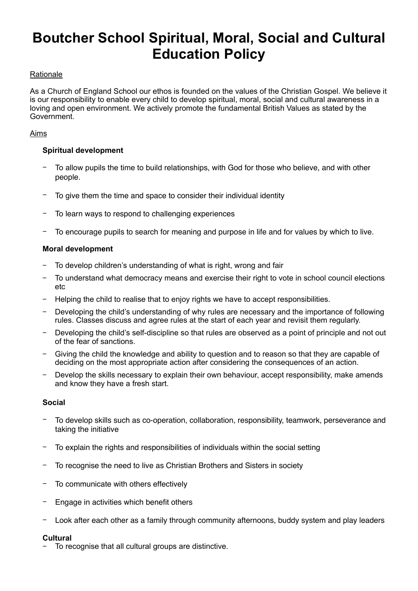# **Boutcher School Spiritual, Moral, Social and Cultural Education Policy**

## **Rationale**

As a Church of England School our ethos is founded on the values of the Christian Gospel. We believe it is our responsibility to enable every child to develop spiritual, moral, social and cultural awareness in a loving and open environment. We actively promote the fundamental British Values as stated by the Government.

## Aims

## **Spiritual development**

- To allow pupils the time to build relationships, with God for those who believe, and with other people.
- To give them the time and space to consider their individual identity
- To learn ways to respond to challenging experiences
- − To encourage pupils to search for meaning and purpose in life and for values by which to live.

## **Moral development**

- − To develop children's understanding of what is right, wrong and fair
- To understand what democracy means and exercise their right to vote in school council elections etc
- Helping the child to realise that to enjoy rights we have to accept responsibilities.
- Developing the child's understanding of why rules are necessary and the importance of following rules. Classes discuss and agree rules at the start of each year and revisit them regularly.
- − Developing the child's self-discipline so that rules are observed as a point of principle and not out of the fear of sanctions.
- Giving the child the knowledge and ability to question and to reason so that they are capable of deciding on the most appropriate action after considering the consequences of an action.
- Develop the skills necessary to explain their own behaviour, accept responsibility, make amends and know they have a fresh start.

## **Social**

- − To develop skills such as co-operation, collaboration, responsibility, teamwork, perseverance and taking the initiative
- To explain the rights and responsibilities of individuals within the social setting
- To recognise the need to live as Christian Brothers and Sisters in society
- To communicate with others effectively
- Engage in activities which benefit others
- Look after each other as a family through community afternoons, buddy system and play leaders

# **Cultural**

− To recognise that all cultural groups are distinctive.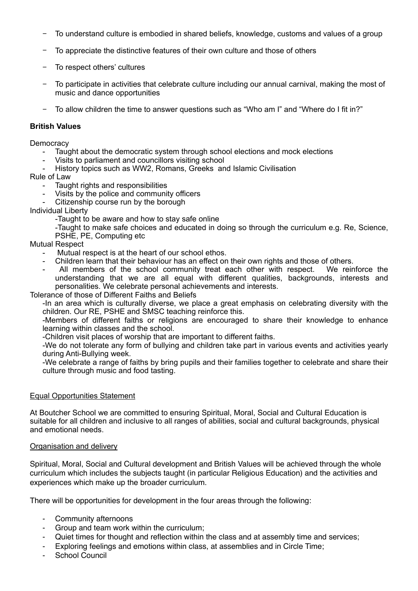- To understand culture is embodied in shared beliefs, knowledge, customs and values of a group
- − To appreciate the distinctive features of their own culture and those of others
- To respect others' cultures
- To participate in activities that celebrate culture including our annual carnival, making the most of music and dance opportunities
- To allow children the time to answer questions such as "Who am I" and "Where do I fit in?"

#### **British Values**

#### **Democracy**

- Taught about the democratic system through school elections and mock elections<br>- Visits to parliament and councillors visiting school
- Visits to parliament and councillors visiting school
- History topics such as WW2, Romans, Greeks and Islamic Civilisation

#### Rule of Law

- Taught rights and responsibilities
- Visits by the police and community officers
- Citizenship course run by the borough

#### Individual Liberty

-Taught to be aware and how to stay safe online

-Taught to make safe choices and educated in doing so through the curriculum e.g. Re, Science, PSHE, PE, Computing etc

#### Mutual Respect

- Mutual respect is at the heart of our school ethos.
- Children learn that their behaviour has an effect on their own rights and those of others.
- All members of the school community treat each other with respect. We reinforce the understanding that we are all equal with different qualities, backgrounds, interests and personalities. We celebrate personal achievements and interests.

Tolerance of those of Different Faiths and Beliefs

-In an area which is culturally diverse, we place a great emphasis on celebrating diversity with the children. Our RE, PSHE and SMSC teaching reinforce this.

-Members of different faiths or religions are encouraged to share their knowledge to enhance learning within classes and the school.

-Children visit places of worship that are important to different faiths.

-We do not tolerate any form of bullying and children take part in various events and activities yearly during Anti-Bullying week.

-We celebrate a range of faiths by bring pupils and their families together to celebrate and share their culture through music and food tasting.

#### Equal Opportunities Statement

At Boutcher School we are committed to ensuring Spiritual, Moral, Social and Cultural Education is suitable for all children and inclusive to all ranges of abilities, social and cultural backgrounds, physical and emotional needs.

#### Organisation and delivery

Spiritual, Moral, Social and Cultural development and British Values will be achieved through the whole curriculum which includes the subjects taught (in particular Religious Education) and the activities and experiences which make up the broader curriculum.

There will be opportunities for development in the four areas through the following:

- Community afternoons
- Group and team work within the curriculum:
- Quiet times for thought and reflection within the class and at assembly time and services;
- Exploring feelings and emotions within class, at assemblies and in Circle Time;
- School Council